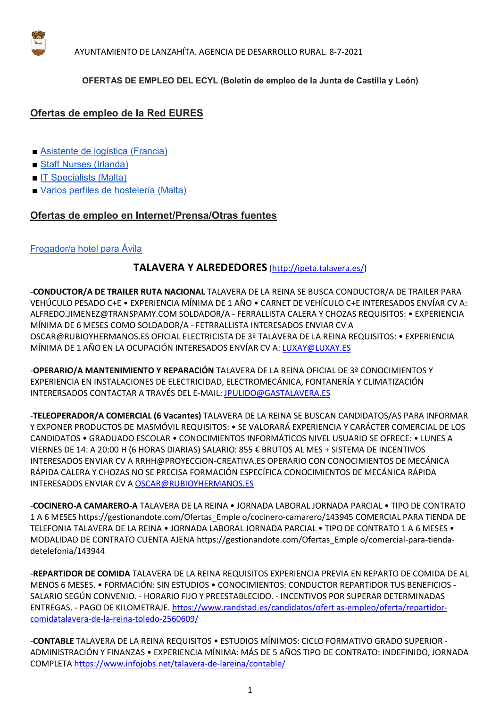

#### **OFERTAS DE EMPLEO DEL ECYL (Boletín de empleo de la Junta de Castilla y León)**

# **Ofertas de empleo de la Red EURES**

- Asistente de logística (Francia)
- Staff Nurses (Irlanda)
- **IT Specialists (Malta)**
- Varios perfiles de hostelería (Malta)

### **Ofertas de empleo en Internet/Prensa/Otras fuentes**

## Fregador/a hotel para Ávila

## **TALAVERA Y ALREDEDORES** (http://ipeta.talavera.es/)

-**CONDUCTOR/A DE TRAILER RUTA NACIONAL** TALAVERA DE LA REINA SE BUSCA CONDUCTOR/A DE TRAILER PARA VEHÚCULO PESADO C+E • EXPERIENCIA MÍNIMA DE 1 AÑO • CARNET DE VEHÍCULO C+E INTERESADOS ENVÍAR CV A: ALFREDO.JIMENEZ@TRANSPAMY.COM SOLDADOR/A - FERRALLISTA CALERA Y CHOZAS REQUISITOS: • EXPERIENCIA MÍNIMA DE 6 MESES COMO SOLDADOR/A - FETRRALLISTA INTERESADOS ENVIAR CV A OSCAR@RUBIOYHERMANOS.ES OFICIAL ELECTRICISTA DE 3ª TALAVERA DE LA REINA REQUISITOS: • EXPERIENCIA MÍNIMA DE 1 AÑO EN LA OCUPACIÓN INTERESADOS ENVÍAR CV A: LUXAY@LUXAY.ES

-**OPERARIO/A MANTENIMIENTO Y REPARACIÓN** TALAVERA DE LA REINA OFICIAL DE 3ª CONOCIMIENTOS Y EXPERIENCIA EN INSTALACIONES DE ELECTRICIDAD, ELECTROMECÁNICA, FONTANERÍA Y CLIMATIZACIÓN INTERERSADOS CONTACTAR A TRAVÉS DEL E-MAIL: JPULIDO@GASTALAVERA.ES

-**TELEOPERADOR/A COMERCIAL (6 Vacantes)** TALAVERA DE LA REINA SE BUSCAN CANDIDATOS/AS PARA INFORMAR Y EXPONER PRODUCTOS DE MASMÓVIL REQUISITOS: • SE VALORARÁ EXPERIENCIA Y CARÁCTER COMERCIAL DE LOS CANDIDATOS • GRADUADO ESCOLAR • CONOCIMIENTOS INFORMÁTICOS NIVEL USUARIO SE OFRECE: • LUNES A VIERNES DE 14: A 20:00 H (6 HORAS DIARIAS) SALARIO: 855 € BRUTOS AL MES + SISTEMA DE INCENTIVOS INTERESADOS ENVIAR CV A RRHH@PROYECCiON-CREATIVA.ES OPERARIO CON CONOCIMIENTOS DE MECÁNICA RÁPIDA CALERA Y CHOZAS NO SE PRECISA FORMACIÓN ESPECÍFICA CONOCIMIENTOS DE MECÁNICA RÁPIDA INTERESADOS ENVIAR CV A OSCAR@RUBIOYHERMANOS.ES

-**COCINERO-A CAMARERO-A** TALAVERA DE LA REINA • JORNADA LABORAL JORNADA PARCIAL • TIPO DE CONTRATO 1 A 6 MESES https://gestionandote.com/Ofertas\_Emple o/cocinero-camarero/143945 COMERCIAL PARA TIENDA DE TELEFONIA TALAVERA DE LA REINA • JORNADA LABORAL JORNADA PARCIAL • TIPO DE CONTRATO 1 A 6 MESES • MODALIDAD DE CONTRATO CUENTA AJENA https://gestionandote.com/Ofertas\_Emple o/comercial-para-tiendadetelefonia/143944

-**REPARTIDOR DE COMIDA** TALAVERA DE LA REINA REQUISITOS EXPERIENCIA PREVIA EN REPARTO DE COMIDA DE AL MENOS 6 MESES. • FORMACIÓN: SIN ESTUDIOS • CONOCIMIENTOS: CONDUCTOR REPARTIDOR TUS BENEFICIOS - SALARIO SEGÚN CONVENIO. - HORARIO FIJO Y PREESTABLECIDO. - INCENTIVOS POR SUPERAR DETERMINADAS ENTREGAS. - PAGO DE KILOMETRAJE. https://www.randstad.es/candidatos/ofert as-empleo/oferta/repartidorcomidatalavera-de-la-reina-toledo-2560609/

-**CONTABLE** TALAVERA DE LA REINA REQUISITOS • ESTUDIOS MÍNIMOS: CICLO FORMATIVO GRADO SUPERIOR - ADMINISTRACIÓN Y FINANZAS • EXPERIENCIA MÍNIMA: MÁS DE 5 AÑOS TIPO DE CONTRATO: INDEFINIDO, JORNADA COMPLETA https://www.infojobs.net/talavera-de-lareina/contable/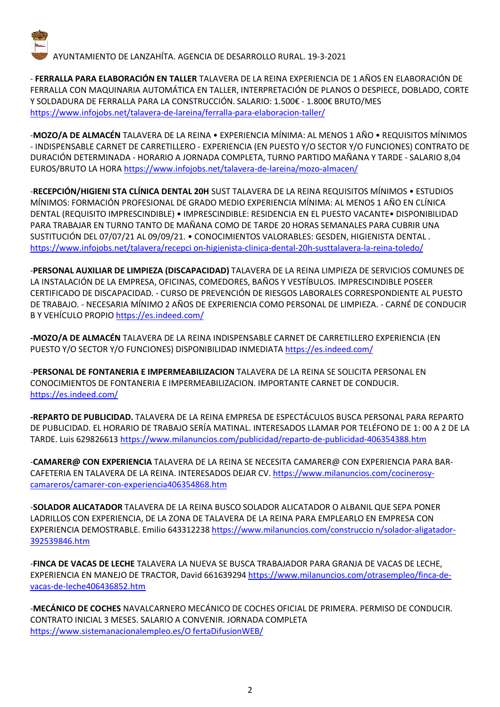

- **FERRALLA PARA ELABORACIÓN EN TALLER** TALAVERA DE LA REINA EXPERIENCIA DE 1 AÑOS EN ELABORACIÓN DE FERRALLA CON MAQUINARIA AUTOMÁTICA EN TALLER, INTERPRETACIÓN DE PLANOS O DESPIECE, DOBLADO, CORTE Y SOLDADURA DE FERRALLA PARA LA CONSTRUCCIÓN. SALARIO: 1.500€ - 1.800€ BRUTO/MES https://www.infojobs.net/talavera-de-lareina/ferralla-para-elaboracion-taller/

-**MOZO/A DE ALMACÉN** TALAVERA DE LA REINA • EXPERIENCIA MÍNIMA: AL MENOS 1 AÑO • REQUISITOS MÍNIMOS - INDISPENSABLE CARNET DE CARRETILLERO - EXPERIENCIA (EN PUESTO Y/O SECTOR Y/O FUNCIONES) CONTRATO DE DURACIÓN DETERMINADA - HORARIO A JORNADA COMPLETA, TURNO PARTIDO MAÑANA Y TARDE - SALARIO 8,04 EUROS/BRUTO LA HORA https://www.infojobs.net/talavera-de-lareina/mozo-almacen/

-**RECEPCIÓN/HIGIENI STA CLÍNICA DENTAL 20H** SUST TALAVERA DE LA REINA REQUISITOS MÍNIMOS • ESTUDIOS MÍNIMOS: FORMACIÓN PROFESIONAL DE GRADO MEDIO EXPERIENCIA MÍNIMA: AL MENOS 1 AÑO EN CLÍNICA DENTAL (REQUISITO IMPRESCINDIBLE) • IMPRESCINDIBLE: RESIDENCIA EN EL PUESTO VACANTE• DISPONIBILIDAD PARA TRABAJAR EN TURNO TANTO DE MAÑANA COMO DE TARDE 20 HORAS SEMANALES PARA CUBRIR UNA SUSTITUCIÓN DEL 07/07/21 AL 09/09/21. • CONOCIMIENTOS VALORABLES: GESDEN, HIGIENISTA DENTAL . https://www.infojobs.net/talavera/recepci on-higienista-clinica-dental-20h-susttalavera-la-reina-toledo/

-**PERSONAL AUXILIAR DE LIMPIEZA (DISCAPACIDAD)** TALAVERA DE LA REINA LIMPIEZA DE SERVICIOS COMUNES DE LA INSTALACIÓN DE LA EMPRESA, OFICINAS, COMEDORES, BAÑOS Y VESTÍBULOS. IMPRESCINDIBLE POSEER CERTIFICADO DE DISCAPACIDAD. - CURSO DE PREVENCIÓN DE RIESGOS LABORALES CORRESPONDIENTE AL PUESTO DE TRABAJO. - NECESARIA MÍNIMO 2 AÑOS DE EXPERIENCIA COMO PERSONAL DE LIMPIEZA. - CARNÉ DE CONDUCIR B Y VEHÍCULO PROPIO https://es.indeed.com/

**-MOZO/A DE ALMACÉN** TALAVERA DE LA REINA INDISPENSABLE CARNET DE CARRETILLERO EXPERIENCIA (EN PUESTO Y/O SECTOR Y/O FUNCIONES) DISPONIBILIDAD INMEDIATA https://es.indeed.com/

-**PERSONAL DE FONTANERIA E IMPERMEABILIZACION** TALAVERA DE LA REINA SE SOLICITA PERSONAL EN CONOCIMIENTOS DE FONTANERIA E IMPERMEABILIZACION. IMPORTANTE CARNET DE CONDUCIR. https://es.indeed.com/

**-REPARTO DE PUBLICIDAD.** TALAVERA DE LA REINA EMPRESA DE ESPECTÁCULOS BUSCA PERSONAL PARA REPARTO DE PUBLICIDAD. EL HORARIO DE TRABAJO SERÍA MATINAL. INTERESADOS LLAMAR POR TELÉFONO DE 1: 00 A 2 DE LA TARDE. Luis 629826613 https://www.milanuncios.com/publicidad/reparto-de-publicidad-406354388.htm

-**CAMARER@ CON EXPERIENCIA** TALAVERA DE LA REINA SE NECESITA CAMARER@ CON EXPERIENCIA PARA BAR-CAFETERIA EN TALAVERA DE LA REINA. INTERESADOS DEJAR CV. https://www.milanuncios.com/cocinerosycamareros/camarer-con-experiencia406354868.htm

-**SOLADOR ALICATADOR** TALAVERA DE LA REINA BUSCO SOLADOR ALICATADOR O ALBANIL QUE SEPA PONER LADRILLOS CON EXPERIENCIA, DE LA ZONA DE TALAVERA DE LA REINA PARA EMPLEARLO EN EMPRESA CON EXPERIENCIA DEMOSTRABLE. Emilio 643312238 https://www.milanuncios.com/construccio n/solador-aligatador-392539846.htm

-**FINCA DE VACAS DE LECHE** TALAVERA LA NUEVA SE BUSCA TRABAJADOR PARA GRANJA DE VACAS DE LECHE, EXPERIENCIA EN MANEJO DE TRACTOR, David 661639294 https://www.milanuncios.com/otrasempleo/finca-devacas-de-leche406436852.htm

-**MECÁNICO DE COCHES** NAVALCARNERO MECÁNICO DE COCHES OFICIAL DE PRIMERA. PERMISO DE CONDUCIR. CONTRATO INICIAL 3 MESES. SALARIO A CONVENIR. JORNADA COMPLETA https://www.sistemanacionalempleo.es/O fertaDifusionWEB/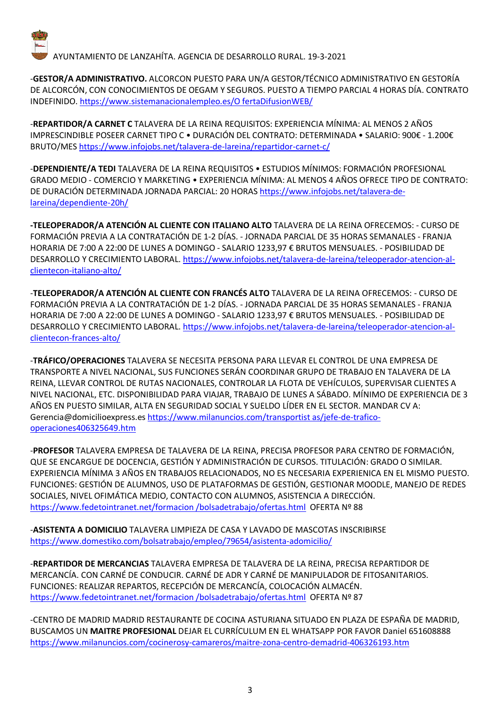

-**GESTOR/A ADMINISTRATIVO.** ALCORCON PUESTO PARA UN/A GESTOR/TÉCNICO ADMINISTRATIVO EN GESTORÍA DE ALCORCÓN, CON CONOCIMIENTOS DE OEGAM Y SEGUROS. PUESTO A TIEMPO PARCIAL 4 HORAS DÍA. CONTRATO INDEFINIDO. https://www.sistemanacionalempleo.es/O fertaDifusionWEB/

-**REPARTIDOR/A CARNET C** TALAVERA DE LA REINA REQUISITOS: EXPERIENCIA MÍNIMA: AL MENOS 2 AÑOS IMPRESCINDIBLE POSEER CARNET TIPO C • DURACIÓN DEL CONTRATO: DETERMINADA • SALARIO: 900€ - 1.200€ BRUTO/MES https://www.infojobs.net/talavera-de-lareina/repartidor-carnet-c/

-**DEPENDIENTE/A TEDI** TALAVERA DE LA REINA REQUISITOS • ESTUDIOS MÍNIMOS: FORMACIÓN PROFESIONAL GRADO MEDIO - COMERCIO Y MARKETING • EXPERIENCIA MÍNIMA: AL MENOS 4 AÑOS OFRECE TIPO DE CONTRATO: DE DURACIÓN DETERMINADA JORNADA PARCIAL: 20 HORAS https://www.infojobs.net/talavera-delareina/dependiente-20h/

**-TELEOPERADOR/A ATENCIÓN AL CLIENTE CON ITALIANO ALTO** TALAVERA DE LA REINA OFRECEMOS: - CURSO DE FORMACIÓN PREVIA A LA CONTRATACIÓN DE 1-2 DÍAS. - JORNADA PARCIAL DE 35 HORAS SEMANALES - FRANJA HORARIA DE 7:00 A 22:00 DE LUNES A DOMINGO - SALARIO 1233,97 € BRUTOS MENSUALES. - POSIBILIDAD DE DESARROLLO Y CRECIMIENTO LABORAL. https://www.infojobs.net/talavera-de-lareina/teleoperador-atencion-alclientecon-italiano-alto/

-**TELEOPERADOR/A ATENCIÓN AL CLIENTE CON FRANCÉS ALTO** TALAVERA DE LA REINA OFRECEMOS: - CURSO DE FORMACIÓN PREVIA A LA CONTRATACIÓN DE 1-2 DÍAS. - JORNADA PARCIAL DE 35 HORAS SEMANALES - FRANJA HORARIA DE 7:00 A 22:00 DE LUNES A DOMINGO - SALARIO 1233,97 € BRUTOS MENSUALES. - POSIBILIDAD DE DESARROLLO Y CRECIMIENTO LABORAL. https://www.infojobs.net/talavera-de-lareina/teleoperador-atencion-alclientecon-frances-alto/

-**TRÁFICO/OPERACIONES** TALAVERA SE NECESITA PERSONA PARA LLEVAR EL CONTROL DE UNA EMPRESA DE TRANSPORTE A NIVEL NACIONAL, SUS FUNCIONES SERÁN COORDINAR GRUPO DE TRABAJO EN TALAVERA DE LA REINA, LLEVAR CONTROL DE RUTAS NACIONALES, CONTROLAR LA FLOTA DE VEHÍCULOS, SUPERVISAR CLIENTES A NIVEL NACIONAL, ETC. DISPONIBILIDAD PARA VIAJAR, TRABAJO DE LUNES A SÁBADO. MÍNIMO DE EXPERIENCIA DE 3 AÑOS EN PUESTO SIMILAR, ALTA EN SEGURIDAD SOCIAL Y SUELDO LÍDER EN EL SECTOR. MANDAR CV A: Gerencia@domicilioexpress.es https://www.milanuncios.com/transportist as/jefe-de-traficooperaciones406325649.htm

-**PROFESOR** TALAVERA EMPRESA DE TALAVERA DE LA REINA, PRECISA PROFESOR PARA CENTRO DE FORMACIÓN, QUE SE ENCARGUE DE DOCENCIA, GESTIÓN Y ADMINISTRACIÓN DE CURSOS. TITULACIÓN: GRADO O SIMILAR. EXPERIENCIA MÍNIMA 3 AÑOS EN TRABAJOS RELACIONADOS, NO ES NECESARIA EXPERIENICA EN EL MISMO PUESTO. FUNCIONES: GESTIÓN DE ALUMNOS, USO DE PLATAFORMAS DE GESTIÓN, GESTIONAR MOODLE, MANEJO DE REDES SOCIALES, NIVEL OFIMÁTICA MEDIO, CONTACTO CON ALUMNOS, ASISTENCIA A DIRECCIÓN. https://www.fedetointranet.net/formacion /bolsadetrabajo/ofertas.html OFERTA Nº 88

-**ASISTENTA A DOMICILIO** TALAVERA LIMPIEZA DE CASA Y LAVADO DE MASCOTAS INSCRIBIRSE https://www.domestiko.com/bolsatrabajo/empleo/79654/asistenta-adomicilio/

-**REPARTIDOR DE MERCANCIAS** TALAVERA EMPRESA DE TALAVERA DE LA REINA, PRECISA REPARTIDOR DE MERCANCÍA. CON CARNÉ DE CONDUCIR. CARNÉ DE ADR Y CARNÉ DE MANIPULADOR DE FITOSANITARIOS. FUNCIONES: REALIZAR REPARTOS, RECEPCIÓN DE MERCANCÍA, COLOCACIÓN ALMACÉN. https://www.fedetointranet.net/formacion /bolsadetrabajo/ofertas.html OFERTA Nº 87

-CENTRO DE MADRID MADRID RESTAURANTE DE COCINA ASTURIANA SITUADO EN PLAZA DE ESPAÑA DE MADRID, BUSCAMOS UN **MAITRE PROFESIONAL** DEJAR EL CURRÍCULUM EN EL WHATSAPP POR FAVOR Daniel 651608888 https://www.milanuncios.com/cocinerosy-camareros/maitre-zona-centro-demadrid-406326193.htm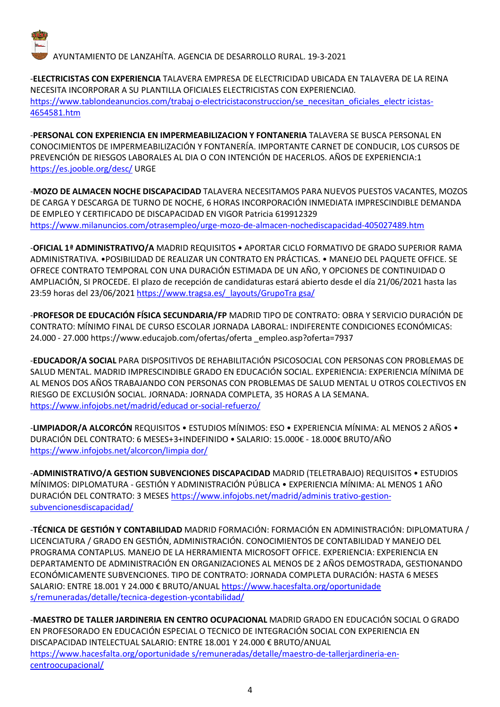

-**ELECTRICISTAS CON EXPERIENCIA** TALAVERA EMPRESA DE ELECTRICIDAD UBICADA EN TALAVERA DE LA REINA NECESITA INCORPORAR A SU PLANTILLA OFICIALES ELECTRICISTAS CON EXPERIENCIA0. https://www.tablondeanuncios.com/trabaj o-electricistaconstruccion/se\_necesitan\_oficiales\_electr icistas-4654581.htm

-**PERSONAL CON EXPERIENCIA EN IMPERMEABILIZACION Y FONTANERIA** TALAVERA SE BUSCA PERSONAL EN CONOCIMIENTOS DE IMPERMEABILIZACIÓN Y FONTANERÍA. IMPORTANTE CARNET DE CONDUCIR, LOS CURSOS DE PREVENCIÓN DE RIESGOS LABORALES AL DIA O CON INTENCIÓN DE HACERLOS. AÑOS DE EXPERIENCIA:1 https://es.jooble.org/desc/ URGE

-**MOZO DE ALMACEN NOCHE DISCAPACIDAD** TALAVERA NECESITAMOS PARA NUEVOS PUESTOS VACANTES, MOZOS DE CARGA Y DESCARGA DE TURNO DE NOCHE, 6 HORAS INCORPORACIÓN INMEDIATA IMPRESCINDIBLE DEMANDA DE EMPLEO Y CERTIFICADO DE DISCAPACIDAD EN VIGOR Patricia 619912329 https://www.milanuncios.com/otrasempleo/urge-mozo-de-almacen-nochediscapacidad-405027489.htm

-**OFICIAL 1ª ADMINISTRATIVO/A** MADRID REQUISITOS • APORTAR CICLO FORMATIVO DE GRADO SUPERIOR RAMA ADMINISTRATIVA. •POSIBILIDAD DE REALIZAR UN CONTRATO EN PRÁCTICAS. • MANEJO DEL PAQUETE OFFICE. SE OFRECE CONTRATO TEMPORAL CON UNA DURACIÓN ESTIMADA DE UN AÑO, Y OPCIONES DE CONTINUIDAD O AMPLIACIÓN, SI PROCEDE. El plazo de recepción de candidaturas estará abierto desde el día 21/06/2021 hasta las 23:59 horas del 23/06/2021 https://www.tragsa.es/\_layouts/GrupoTra gsa/

-**PROFESOR DE EDUCACIÓN FÍSICA SECUNDARIA/FP** MADRID TIPO DE CONTRATO: OBRA Y SERVICIO DURACIÓN DE CONTRATO: MÍNIMO FINAL DE CURSO ESCOLAR JORNADA LABORAL: INDIFERENTE CONDICIONES ECONÓMICAS: 24.000 - 27.000 https://www.educajob.com/ofertas/oferta \_empleo.asp?oferta=7937

-**EDUCADOR/A SOCIAL** PARA DISPOSITIVOS DE REHABILITACIÓN PSICOSOCIAL CON PERSONAS CON PROBLEMAS DE SALUD MENTAL. MADRID IMPRESCINDIBLE GRADO EN EDUCACIÓN SOCIAL. EXPERIENCIA: EXPERIENCIA MÍNIMA DE AL MENOS DOS AÑOS TRABAJANDO CON PERSONAS CON PROBLEMAS DE SALUD MENTAL U OTROS COLECTIVOS EN RIESGO DE EXCLUSIÓN SOCIAL. JORNADA: JORNADA COMPLETA, 35 HORAS A LA SEMANA. https://www.infojobs.net/madrid/educad or-social-refuerzo/

-**LIMPIADOR/A ALCORCÓN** REQUISITOS • ESTUDIOS MÍNIMOS: ESO • EXPERIENCIA MÍNIMA: AL MENOS 2 AÑOS • DURACIÓN DEL CONTRATO: 6 MESES+3+INDEFINIDO · SALARIO: 15.000€ - 18.000€ BRUTO/AÑO https://www.infojobs.net/alcorcon/limpia dor/

-**ADMINISTRATIVO/A GESTION SUBVENCIONES DISCAPACIDAD** MADRID (TELETRABAJO) REQUISITOS • ESTUDIOS MÍNIMOS: DIPLOMATURA - GESTIÓN Y ADMINISTRACIÓN PÚBLICA • EXPERIENCIA MÍNIMA: AL MENOS 1 AÑO DURACIÓN DEL CONTRATO: 3 MESES https://www.infojobs.net/madrid/adminis trativo-gestionsubvencionesdiscapacidad/

-**TÉCNICA DE GESTIÓN Y CONTABILIDAD** MADRID FORMACIÓN: FORMACIÓN EN ADMINISTRACIÓN: DIPLOMATURA / LICENCIATURA / GRADO EN GESTIÓN, ADMINISTRACIÓN. CONOCIMIENTOS DE CONTABILIDAD Y MANEJO DEL PROGRAMA CONTAPLUS. MANEJO DE LA HERRAMIENTA MICROSOFT OFFICE. EXPERIENCIA: EXPERIENCIA EN DEPARTAMENTO DE ADMINISTRACIÓN EN ORGANIZACIONES AL MENOS DE 2 AÑOS DEMOSTRADA, GESTIONANDO ECONÓMICAMENTE SUBVENCIONES. TIPO DE CONTRATO: JORNADA COMPLETA DURACIÓN: HASTA 6 MESES SALARIO: ENTRE 18.001 Y 24.000 € BRUTO/ANUAL https://www.hacesfalta.org/oportunidade s/remuneradas/detalle/tecnica-degestion-ycontabilidad/

-**MAESTRO DE TALLER JARDINERIA EN CENTRO OCUPACIONAL** MADRID GRADO EN EDUCACIÓN SOCIAL O GRADO EN PROFESORADO EN EDUCACIÓN ESPECIAL O TECNICO DE INTEGRACIÓN SOCIAL CON EXPERIENCIA EN DISCAPACIDAD INTELECTUAL SALARIO: ENTRE 18.001 Y 24.000 € BRUTO/ANUAL https://www.hacesfalta.org/oportunidade s/remuneradas/detalle/maestro-de-tallerjardineria-encentroocupacional/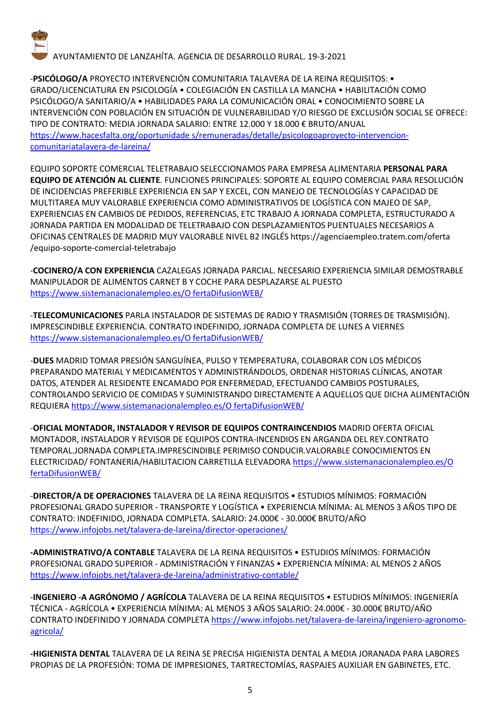

-**PSICÓLOGO/A** PROYECTO INTERVENCIÓN COMUNITARIA TALAVERA DE LA REINA REQUISITOS: • GRADO/LICENCIATURA EN PSICOLOGÍA • COLEGIACIÓN EN CASTILLA LA MANCHA • HABILITACIÓN COMO PSICÓLOGO/A SANITARIO/A • HABILIDADES PARA LA COMUNICACIÓN ORAL • CONOCIMIENTO SOBRE LA INTERVENCIÓN CON POBLACIÓN EN SITUACIÓN DE VULNERABILIDAD Y/O RIESGO DE EXCLUSIÓN SOCIAL SE OFRECE: TIPO DE CONTRATO: MEDIA JORNADA SALARIO: ENTRE 12.000 Y 18.000 € BRUTO/ANUAL https://www.hacesfalta.org/oportunidade s/remuneradas/detalle/psicologoaproyecto-intervencioncomunitariatalavera-de-lareina/

EQUIPO SOPORTE COMERCIAL TELETRABAJO SELECCIONAMOS PARA EMPRESA ALIMENTARIA **PERSONAL PARA EQUIPO DE ATENCIÓN AL CLIENTE**. FUNCIONES PRINCIPALES: SOPORTE AL EQUIPO COMERCIAL PARA RESOLUCIÓN DE INCIDENCIAS PREFERIBLE EXPERIENCIA EN SAP Y EXCEL, CON MANEJO DE TECNOLOGÍAS Y CAPACIDAD DE MULTITAREA MUY VALORABLE EXPERIENCIA COMO ADMINISTRATIVOS DE LOGÍSTICA CON MAJEO DE SAP, EXPERIENCIAS EN CAMBIOS DE PEDIDOS, REFERENCIAS, ETC TRABAJO A JORNADA COMPLETA, ESTRUCTURADO A JORNADA PARTIDA EN MODALIDAD DE TELETRABAJO CON DESPLAZAMIENTOS PUENTUALES NECESARIOS A OFICINAS CENTRALES DE MADRID MUY VALORABLE NIVEL B2 INGLÉS https://agenciaempleo.tratem.com/oferta /equipo-soporte-comercial-teletrabajo

-**COCINERO/A CON EXPERIENCIA** CAZALEGAS JORNADA PARCIAL. NECESARIO EXPERIENCIA SIMILAR DEMOSTRABLE MANIPULADOR DE ALIMENTOS CARNET B Y COCHE PARA DESPLAZARSE AL PUESTO https://www.sistemanacionalempleo.es/O fertaDifusionWEB/

-**TELECOMUNICACIONES** PARLA INSTALADOR DE SISTEMAS DE RADIO Y TRASMISIÓN (TORRES DE TRASMISIÓN). IMPRESCINDIBLE EXPERIENCIA. CONTRATO INDEFINIDO, JORNADA COMPLETA DE LUNES A VIERNES https://www.sistemanacionalempleo.es/O fertaDifusionWEB/

-**DUES** MADRID TOMAR PRESIÓN SANGUÍNEA, PULSO Y TEMPERATURA, COLABORAR CON LOS MÉDICOS PREPARANDO MATERIAL Y MEDICAMENTOS Y ADMINISTRÁNDOLOS, ORDENAR HISTORIAS CLÍNICAS, ANOTAR DATOS, ATENDER AL RESIDENTE ENCAMADO POR ENFERMEDAD, EFECTUANDO CAMBIOS POSTURALES, CONTROLANDO SERVICIO DE COMIDAS Y SUMINISTRANDO DIRECTAMENTE A AQUELLOS QUE DICHA ALIMENTACIÓN REQUIERA https://www.sistemanacionalempleo.es/O fertaDifusionWEB/

-**OFICIAL MONTADOR, INSTALADOR Y REVISOR DE EQUIPOS CONTRAINCENDIOS** MADRID OFERTA OFICIAL MONTADOR, INSTALADOR Y REVISOR DE EQUIPOS CONTRA-INCENDIOS EN ARGANDA DEL REY.CONTRATO TEMPORAL.JORNADA COMPLETA.IMPRESCINDIBLE PERIMISO CONDUCIR.VALORABLE CONOCIMIENTOS EN ELECTRICIDAD/ FONTANERIA/HABILITACION CARRETILLA ELEVADORA https://www.sistemanacionalempleo.es/O fertaDifusionWEB/

-**DIRECTOR/A DE OPERACIONES** TALAVERA DE LA REINA REQUISITOS • ESTUDIOS MÍNIMOS: FORMACIÓN PROFESIONAL GRADO SUPERIOR - TRANSPORTE Y LOGÍSTICA • EXPERIENCIA MÍNIMA: AL MENOS 3 AÑOS TIPO DE CONTRATO: INDEFINIDO, JORNADA COMPLETA. SALARIO: 24.000€ - 30.000€ BRUTO/AÑO https://www.infojobs.net/talavera-de-lareina/director-operaciones/

**-ADMINISTRATIVO/A CONTABLE** TALAVERA DE LA REINA REQUISITOS • ESTUDIOS MÍNIMOS: FORMACIÓN PROFESIONAL GRADO SUPERIOR - ADMINISTRACIÓN Y FINANZAS • EXPERIENCIA MÍNIMA: AL MENOS 2 AÑOS https://www.infojobs.net/talavera-de-lareina/administrativo-contable/

-**INGENIERO -A AGRÓNOMO / AGRÍCOLA** TALAVERA DE LA REINA REQUISITOS • ESTUDIOS MÍNIMOS: INGENIERÍA TÉCNICA - AGRÍCOLA • EXPERIENCIA MÍNIMA: AL MENOS 3 AÑOS SALARIO: 24.000€ - 30.000€ BRUTO/AÑO CONTRATO INDEFINIDO Y JORNADA COMPLETA https://www.infojobs.net/talavera-de-lareina/ingeniero-agronomoagricola/

**-HIGIENISTA DENTAL** TALAVERA DE LA REINA SE PRECISA HIGIENISTA DENTAL A MEDIA JORANADA PARA LABORES PROPIAS DE LA PROFESIÓN: TOMA DE IMPRESIONES, TARTRECTOMÍAS, RASPAJES AUXILIAR EN GABINETES, ETC.